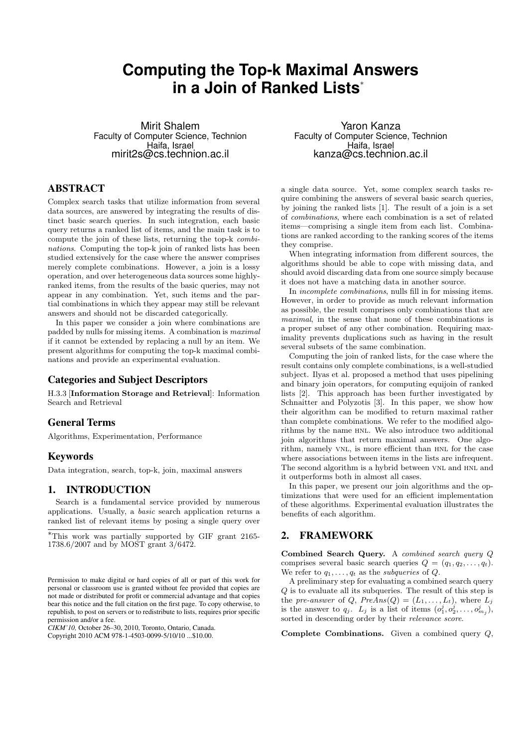# **Computing the Top-k Maximal Answers in a Join of Ranked Lists***<sup>∗</sup>*

Mirit Shalem Faculty of Computer Science, Technion Haifa, Israel mirit2s@cs.technion.ac.il

# ABSTRACT

Complex search tasks that utilize information from several data sources, are answered by integrating the results of distinct basic search queries. In such integration, each basic query returns a ranked list of items, and the main task is to compute the join of these lists, returning the top-k *combinations*. Computing the top-k join of ranked lists has been studied extensively for the case where the answer comprises merely complete combinations. However, a join is a lossy operation, and over heterogeneous data sources some highlyranked items, from the results of the basic queries, may not appear in any combination. Yet, such items and the partial combinations in which they appear may still be relevant answers and should not be discarded categorically.

In this paper we consider a join where combinations are padded by nulls for missing items. A combination is *maximal* if it cannot be extended by replacing a null by an item. We present algorithms for computing the top-k maximal combinations and provide an experimental evaluation.

# Categories and Subject Descriptors

H.3.3 [**Information Storage and Retrieval**]: Information Search and Retrieval

## General Terms

Algorithms, Experimentation, Performance

# Keywords

Data integration, search, top-k, join, maximal answers

# **INTRODUCTION**

Search is a fundamental service provided by numerous applications. Usually, a *basic* search application returns a ranked list of relevant items by posing a single query over

*CIKM'10,* October 26–30, 2010, Toronto, Ontario, Canada.

Copyright 2010 ACM 978-1-4503-0099-5/10/10 ...\$10.00.

Yaron Kanza Faculty of Computer Science, Technion Haifa, Israel kanza@cs.technion.ac.il

a single data source. Yet, some complex search tasks require combining the answers of several basic search queries, by joining the ranked lists [1]. The result of a join is a set of *combinations*, where each combination is a set of related items—comprising a single item from each list. Combinations are ranked according to the ranking scores of the items they comprise.

When integrating information from different sources, the algorithms should be able to cope with missing data, and should avoid discarding data from one source simply because it does not have a matching data in another source.

In *incomplete combinations*, nulls fill in for missing items. However, in order to provide as much relevant information as possible, the result comprises only combinations that are *maximal*, in the sense that none of these combinations is a proper subset of any other combination. Requiring maximality prevents duplications such as having in the result several subsets of the same combination.

Computing the join of ranked lists, for the case where the result contains only complete combinations, is a well-studied subject. Ilyas et al. proposed a method that uses pipelining and binary join operators, for computing equijoin of ranked lists [2]. This approach has been further investigated by Schnaitter and Polyzotis [3]. In this paper, we show how their algorithm can be modified to return maximal rather than complete combinations. We refer to the modified algorithms by the name hnl. We also introduce two additional join algorithms that return maximal answers. One algorithm, namely VNL, is more efficient than HNL for the case where associations between items in the lists are infrequent. The second algorithm is a hybrid between VNL and HNL and it outperforms both in almost all cases.

In this paper, we present our join algorithms and the optimizations that were used for an efficient implementation of these algorithms. Experimental evaluation illustrates the benefits of each algorithm.

# 2. FRAMEWORK

**Combined Search Query.** A *combined search query Q* comprises several basic search queries  $Q = (q_1, q_2, \ldots, q_t)$ . We refer to  $q_1, \ldots, q_t$  as the *subqueries* of *Q*.

A preliminary step for evaluating a combined search query *Q* is to evaluate all its subqueries. The result of this step is the *pre-answer* of *Q*,  $PreAns(Q) = (L_1, \ldots, L_t)$ , where  $L_i$ is the answer to  $q_j$ .  $L_j$  is a list of items  $(o_1^j, o_2^j, \ldots, o_{m_j}^j)$ , sorted in descending order by their *relevance score*.

**Complete Combinations.** Given a combined query *Q*,

*<sup>∗</sup>*This work was partially supported by GIF grant 2165- 1738.6/2007 and by MOST grant 3/6472.

Permission to make digital or hard copies of all or part of this work for personal or classroom use is granted without fee provided that copies are not made or distributed for profit or commercial advantage and that copies bear this notice and the full citation on the first page. To copy otherwise, to republish, to post on servers or to redistribute to lists, requires prior specific permission and/or a fee.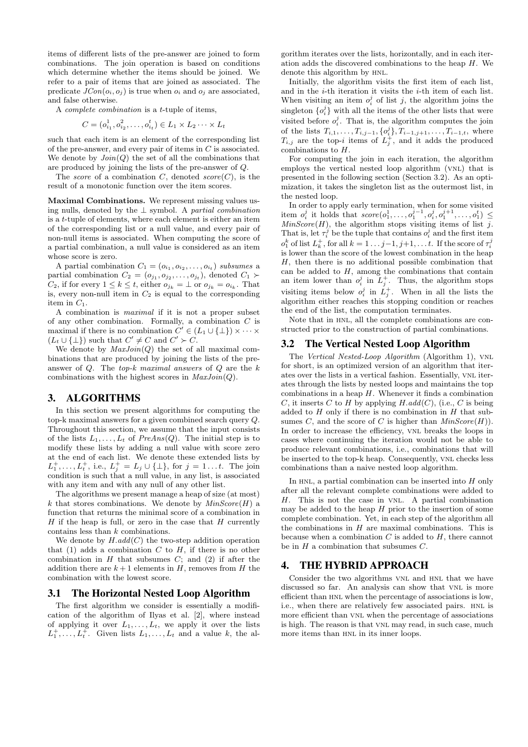items of different lists of the pre-answer are joined to form combinations. The join operation is based on conditions which determine whether the items should be joined. We refer to a pair of items that are joined as associated. The predicate  $JCon(o_i, o_j)$  is true when  $o_i$  and  $o_j$  are associated, and false otherwise.

A *complete combination* is a *t*-tuple of items,

$$
C = (o_{i_1}^1, o_{i_2}^2, \dots, o_{i_t}^t) \in L_1 \times L_2 \dots \times L_t
$$

such that each item is an element of the corresponding list of the pre-answer, and every pair of items in *C* is associated. We denote by  $Join(Q)$  the set of all the combinations that are produced by joining the lists of the pre-answer of *Q*.

The *score* of a combination *C*, denoted *score*(*C*), is the result of a monotonic function over the item scores.

**Maximal Combinations.** We represent missing values using nulls, denoted by the *⊥* symbol. A *partial combination* is a *t*-tuple of elements, where each element is either an item of the corresponding list or a null value, and every pair of non-null items is associated. When computing the score of a partial combination, a null value is considered as an item whose score is zero.

A partial combination  $C_1 = (o_{i_1}, o_{i_2}, \ldots, o_{i_t})$  *subsumes* a partial combination  $C_2 = (o_{j_1}, o_{j_2}, \ldots, o_{j_t})$ , denoted  $C_1 \succ$  $C_2$ , if for every  $1 \leq k \leq t$ , either  $o_{j_k} = \perp$  or  $o_{j_k} = o_{i_k}$ . That is, every non-null item in  $C_2$  is equal to the corresponding item in *C*1.

A combination is *maximal* if it is not a proper subset of any other combination. Formally, a combination *C* is maximal if there is no combination  $C' \in (L_1 \cup \{\perp\}) \times \cdots \times$  $(L_t \cup \{\perp\})$  such that  $C' \neq C$  and  $C' \succ C$ .

We denote by *MaxJoin*(*Q*) the set of all maximal combinations that are produced by joining the lists of the preanswer of *Q*. The *top-k maximal answers* of *Q* are the *k* combinations with the highest scores in *MaxJoin*(*Q*).

## 3. ALGORITHMS

In this section we present algorithms for computing the top-k maximal answers for a given combined search query *Q*. Throughout this section, we assume that the input consists of the lists  $L_1, \ldots, L_t$  of  $PreAns(Q)$ . The initial step is to modify these lists by adding a null value with score zero at the end of each list. We denote these extended lists by  $L_1^+$ , ...,  $L_t^+$ , i.e.,  $L_j^+ = L_j \cup \{\perp\}$ , for  $j = 1...t$ . The join condition is such that a null value, in any list, is associated with any item and with any null of any other list.

The algorithms we present manage a heap of size (at most)  $k$  that stores combinations. We denote by  $MinScore(H)$  a function that returns the minimal score of a combination in *H* if the heap is full, or zero in the case that *H* currently contains less than *k* combinations.

We denote by  $H.add(C)$  the two-step addition operation that  $(1)$  adds a combination *C* to *H*, if there is no other combination in  $H$  that subsumes  $C$ ; and  $(2)$  if after the addition there are  $k+1$  elements in *H*, removes from *H* the combination with the lowest score.

#### 3.1 The Horizontal Nested Loop Algorithm

The first algorithm we consider is essentially a modification of the algorithm of Ilyas et al. [2], where instead of applying it over  $L_1, \ldots, L_t$ , we apply it over the lists  $L_1^+$ ,  $\ldots$ ,  $L_t^+$ . Given lists  $L_1$ ,  $\ldots$ ,  $L_t$  and a value *k*, the al-

gorithm iterates over the lists, horizontally, and in each iteration adds the discovered combinations to the heap *H*. We denote this algorithm by HNL.

Initially, the algorithm visits the first item of each list, and in the *i*-th iteration it visits the *i*-th item of each list. When visiting an item  $o_i^j$  of list *j*, the algorithm joins the singleton  $\{o_i^j\}$  with all the items of the other lists that were visited before  $o_i^j$ . That is, the algorithm computes the join of the lists  $T_{i,1}, \ldots, T_{i,j-1}, \{o_i^j\}, T_{i-1,j+1}, \ldots, T_{i-1,t}$ , where  $T_{i,j}$  are the top-*i* items of  $L_j^+$ , and it adds the produced combinations to *H*.

For computing the join in each iteration, the algorithm employs the vertical nested loop algorithm (vnl) that is presented in the following section (Section 3.2). As an optimization, it takes the singleton list as the outermost list, in the nested loop.

In order to apply early termination, when for some visited item  $o_i^j$  it holds that  $score(o_1^1, \ldots, o_1^{j-1}, o_i^j, o_1^{j+1}, \ldots, o_1^t) \leq$  $MinScore(H)$ , the algorithm stops visiting items of list *j*. That is, let  $\tau_i^j$  be the tuple that contains  $o_i^j$  and the first item  $o_1^k$  of list  $L_k^+$ , for all  $k = 1 \ldots j-1, j+1, \ldots t$ . If the score of  $\tau_i^j$ is lower than the score of the lowest combination in the heap *H*, then there is no additional possible combination that can be added to  $H$ , among the combinations that contain an item lower than  $o_i^j$  in  $L_j^+$ . Thus, the algorithm stops visiting items below  $o_i^j$  in  $L_j^+$ . When in all the lists the algorithm either reaches this stopping condition or reaches the end of the list, the computation terminates.

Note that in HNL, all the complete combinations are constructed prior to the construction of partial combinations.

#### 3.2 The Vertical Nested Loop Algorithm

The *Vertical Nested-Loop Algorithm* (Algorithm 1), vnl for short, is an optimized version of an algorithm that iterates over the lists in a vertical fashion. Essentially, VNL iterates through the lists by nested loops and maintains the top combinations in a heap *H*. Whenever it finds a combination *C*, it inserts *C* to *H* by applying  $H.add(C)$ , (i.e., *C* is being added to *H* only if there is no combination in *H* that subsumes *C*, and the score of *C* is higher than  $MinScore(H)$ . In order to increase the efficiency, VNL breaks the loops in cases where continuing the iteration would not be able to produce relevant combinations, i.e., combinations that will be inserted to the top-k heap. Consequently, VNL checks less combinations than a naive nested loop algorithm.

In HNL, a partial combination can be inserted into *H* only after all the relevant complete combinations were added to *H*. This is not the case in vnl. A partial combination may be added to the heap *H* prior to the insertion of some complete combination. Yet, in each step of the algorithm all the combinations in  $H$  are maximal combinations. This is because when a combination *C* is added to *H*, there cannot be in *H* a combination that subsumes *C*.

## 4. THE HYBRID APPROACH

Consider the two algorithms VNL and HNL that we have discussed so far. An analysis can show that VNL is more efficient than HNL when the percentage of associations is low, i.e., when there are relatively few associated pairs. HNL is more efficient than vnl when the percentage of associations is high. The reason is that VNL may read, in such case, much more items than HNL in its inner loops.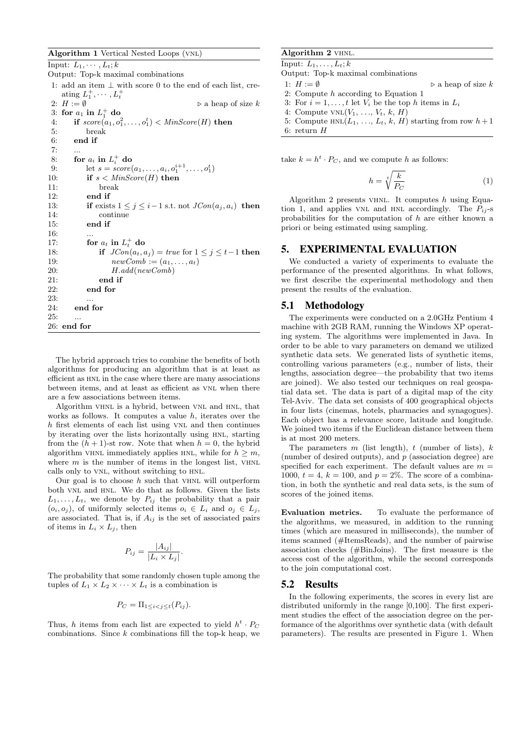**Algorithm 1** Vertical Nested Loops (vnl)

| Input: $L_1, \cdots, L_t$ ; k      |                                                                   |
|------------------------------------|-------------------------------------------------------------------|
| Output: Top-k maximal combinations |                                                                   |
|                                    | 1: add an item $\perp$ with score 0 to the end of each list, cre- |
|                                    | ating $L_1^+,\cdots,L_t^+$                                        |
|                                    | 2: $H := \emptyset$<br>$\triangleright$ a heap of size k          |
|                                    | 3: for $a_1$ in $L_1^+$ do                                        |
| 4:                                 | if $score(a_1, o_1^2, \ldots, o_1^t) < MinScore(H)$ then          |
| 5:                                 | break                                                             |
| 6:                                 | end if                                                            |
| 7:                                 |                                                                   |
| 8:                                 | for $a_i$ in $L_i^+$ do                                           |
| 9:                                 | let $s = score(a_1, , a_i, o_1^{i+1}, , o_1^t)$                   |
| 10:                                | if $s <$ MinScore(H) then                                         |
| 11:                                | break                                                             |
| 12:                                | end if                                                            |
| 13:                                | if exists $1 \leq j \leq i-1$ s.t. not $JCon(a_j, a_i)$ then      |
| 14:                                | continue                                                          |
| 15:                                | end if                                                            |
| 16:                                | .                                                                 |
| 17:                                | for $a_t$ in $L_t^+$ do                                           |
| 18:                                | if $JCon(a_t, a_j) = true$ for $1 \leq j \leq t-1$ then           |
| 19:                                | $newComb := (a_1, \ldots, a_t)$                                   |
| 20:                                | H.add(newComb)                                                    |
| 21:                                | end if                                                            |
| 22:                                | end for                                                           |
| 23:                                | .                                                                 |
| 24:                                | end for                                                           |
| 25:                                | .                                                                 |
|                                    | $26:$ end for                                                     |

The hybrid approach tries to combine the benefits of both algorithms for producing an algorithm that is at least as efficient as HNL in the case where there are many associations between items, and at least as efficient as VNL when there are a few associations between items.

Algorithm vhnl is a hybrid, between vnl and hnl, that works as follows. It computes a value *h*, iterates over the *h* first elements of each list using VNL and then continues by iterating over the lists horizontally using HNL, starting from the  $(h + 1)$ -st row. Note that when  $h = 0$ , the hybrid algorithm VHNL immediately applies HNL, while for  $h \geq m$ , where  $m$  is the number of items in the longest list,  $VHNL$ calls only to vnl, without switching to hnl.

Our goal is to choose  $h$  such that  $V$ HNL will outperform both vnl and hnl. We do that as follows. Given the lists  $L_1, \ldots, L_t$ , we denote by  $P_{ij}$  the probability that a pair  $(o_i, o_j)$ , of uniformly selected items  $o_i \in L_i$  and  $o_j \in L_j$ , are associated. That is, if *Aij* is the set of associated pairs of items in  $L_i \times L_j$ , then

$$
P_{ij} = \frac{|A_{ij}|}{|L_i \times L_j|}.
$$

The probability that some randomly chosen tuple among the tuples of  $L_1 \times L_2 \times \cdots \times L_t$  is a combination is

$$
P_C = \Pi_{1 \leq i < j \leq t}(P_{ij}).
$$

Thus, *h* items from each list are expected to yield  $h^t \cdot P_C$ combinations. Since *k* combinations fill the top-k heap, we

## **Algorithm 2** vhnl.

 $\overline{\text{Input: } L_1, \ldots, L_t; k}$ Output: Top-k maximal combinations 1: *H* := *∅ ◃* a heap of size *k* 2: Compute *h* according to Equation 1 3: For  $i = 1, \ldots, t$  let  $V_i$  be the top *h* items in  $L_i$ 4: Compute  $VNL(V_1, \ldots, V_t, k, H)$ 5: Compute  $HNL(L_1, ..., L_t, k, H)$  starting from row  $h+1$ 6: return *H*

take  $k = h^t \cdot P_C$ , and we compute *h* as follows:

$$
h = \sqrt[4]{\frac{k}{P_C}}\tag{1}
$$

Algorithm 2 presents vhnl. It computes *h* using Equation 1, and applies VNL and HNL accordingly. The  $P_{ij}$ -s probabilities for the computation of *h* are either known a priori or being estimated using sampling.

## 5. EXPERIMENTAL EVALUATION

We conducted a variety of experiments to evaluate the performance of the presented algorithms. In what follows, we first describe the experimental methodology and then present the results of the evaluation.

#### 5.1 Methodology

The experiments were conducted on a 2.0GHz Pentium 4 machine with 2GB RAM, running the Windows XP operating system. The algorithms were implemented in Java. In order to be able to vary parameters on demand we utilized synthetic data sets. We generated lists of synthetic items, controlling various parameters (e.g., number of lists, their lengths, association degree—the probability that two items are joined). We also tested our techniques on real geospatial data set. The data is part of a digital map of the city Tel-Aviv. The data set consists of 400 geographical objects in four lists (cinemas, hotels, pharmacies and synagogues). Each object has a relevance score, latitude and longitude. We joined two items if the Euclidean distance between them is at most 200 meters.

The parameters *m* (list length), *t* (number of lists), *k* (number of desired outputs), and *p* (association degree) are specified for each experiment. The default values are  $m =$ 1000,  $t = 4$ ,  $k = 100$ , and  $p = 2\%$ . The score of a combination, in both the synthetic and real data sets, is the sum of scores of the joined items.

**Evaluation metrics.** To evaluate the performance of the algorithms, we measured, in addition to the running times (which are measured in milliseconds), the number of items scanned (#ItemsReads), and the number of pairwise association checks (#BinJoins). The first measure is the access cost of the algorithm, while the second corresponds to the join computational cost.

#### 5.2 Results

In the following experiments, the scores in every list are distributed uniformly in the range [0,100]. The first experiment studies the effect of the association degree on the performance of the algorithms over synthetic data (with default parameters). The results are presented in Figure 1. When